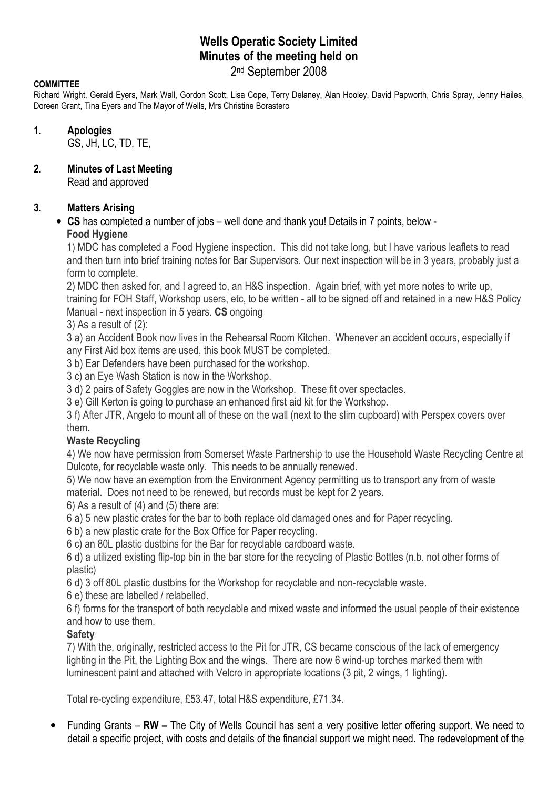# Wells Operatic Society Limited Minutes of the meeting held on 2 nd September 2008

#### **COMMITTEE**

Richard Wright, Gerald Eyers, Mark Wall, Gordon Scott, Lisa Cope, Terry Delaney, Alan Hooley, David Papworth, Chris Spray, Jenny Hailes, Doreen Grant, Tina Eyers and The Mayor of Wells, Mrs Christine Borastero

#### 1. Apologies

GS, JH, LC, TD, TE,

#### 2. Minutes of Last Meeting

Read and approved

## 3. Matters Arising

## • CS has completed a number of jobs – well done and thank you! Details in 7 points, below - Food Hygiene

1) MDC has completed a Food Hygiene inspection. This did not take long, but I have various leaflets to read and then turn into brief training notes for Bar Supervisors. Our next inspection will be in 3 years, probably just a form to complete.

2) MDC then asked for, and I agreed to, an H&S inspection. Again brief, with yet more notes to write up, training for FOH Staff, Workshop users, etc, to be written - all to be signed off and retained in a new H&S Policy Manual - next inspection in 5 years. CS ongoing

3) As a result of (2):

3 a) an Accident Book now lives in the Rehearsal Room Kitchen. Whenever an accident occurs, especially if any First Aid box items are used, this book MUST be completed.

3 b) Ear Defenders have been purchased for the workshop.

3 c) an Eye Wash Station is now in the Workshop.

3 d) 2 pairs of Safety Goggles are now in the Workshop. These fit over spectacles.

3 e) Gill Kerton is going to purchase an enhanced first aid kit for the Workshop.

3 f) After JTR, Angelo to mount all of these on the wall (next to the slim cupboard) with Perspex covers over them.

## Waste Recycling

4) We now have permission from Somerset Waste Partnership to use the Household Waste Recycling Centre at Dulcote, for recyclable waste only. This needs to be annually renewed.

5) We now have an exemption from the Environment Agency permitting us to transport any from of waste material. Does not need to be renewed, but records must be kept for 2 years.

6) As a result of (4) and (5) there are:

6 a) 5 new plastic crates for the bar to both replace old damaged ones and for Paper recycling.

6 b) a new plastic crate for the Box Office for Paper recycling.

6 c) an 80L plastic dustbins for the Bar for recyclable cardboard waste.

6 d) a utilized existing flip-top bin in the bar store for the recycling of Plastic Bottles (n.b. not other forms of plastic)

6 d) 3 off 80L plastic dustbins for the Workshop for recyclable and non-recyclable waste.

6 e) these are labelled / relabelled.

6 f) forms for the transport of both recyclable and mixed waste and informed the usual people of their existence and how to use them.

## **Safety**

7) With the, originally, restricted access to the Pit for JTR, CS became conscious of the lack of emergency lighting in the Pit, the Lighting Box and the wings. There are now 6 wind-up torches marked them with luminescent paint and attached with Velcro in appropriate locations (3 pit, 2 wings, 1 lighting).

Total re-cycling expenditure, £53.47, total H&S expenditure, £71.34.

• Funding Grants – RW – The City of Wells Council has sent a very positive letter offering support. We need to detail a specific project, with costs and details of the financial support we might need. The redevelopment of the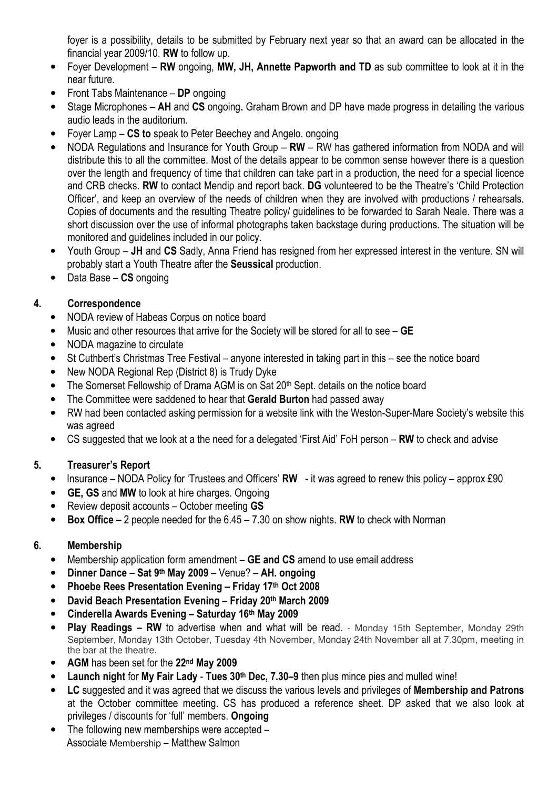foyer is a possibility, details to be submitted by February next year so that an award can be allocated in the financial year 2009/10. RW to follow up.

- Foyer Development RW ongoing, MW, JH, Annette Papworth and TD as sub committee to look at it in the near future.
- Front Tabs Maintenance DP ongoing
- Stage Microphones AH and CS ongoing. Graham Brown and DP have made progress in detailing the various audio leads in the auditorium.
- Foyer Lamp CS to speak to Peter Beechey and Angelo. ongoing
- NODA Regulations and Insurance for Youth Group RW RW has gathered information from NODA and will distribute this to all the committee. Most of the details appear to be common sense however there is a question over the length and frequency of time that children can take part in a production, the need for a special licence and CRB checks. RW to contact Mendip and report back. DG volunteered to be the Theatre's 'Child Protection Officer', and keep an overview of the needs of children when they are involved with productions / rehearsals. Copies of documents and the resulting Theatre policy/ guidelines to be forwarded to Sarah Neale. There was a short discussion over the use of informal photographs taken backstage during productions. The situation will be monitored and guidelines included in our policy.
- Youth Group JH and CS Sadly, Anna Friend has resigned from her expressed interest in the venture. SN will probably start a Youth Theatre after the Seussical production.
- Data Base CS ongoing

## 4. Correspondence

- NODA review of Habeas Corpus on notice board
- Music and other resources that arrive for the Society will be stored for all to see GE
- NODA magazine to circulate
- St Cuthbert's Christmas Tree Festival anyone interested in taking part in this see the notice board
- New NODA Regional Rep (District 8) is Trudy Dyke
- The Somerset Fellowship of Drama AGM is on Sat 20<sup>th</sup> Sept. details on the notice board
- The Committee were saddened to hear that Gerald Burton had passed away
- RW had been contacted asking permission for a website link with the Weston-Super-Mare Society's website this was agreed
- CS suggested that we look at a the need for a delegated 'First Aid' FoH person RW to check and advise

# 5. Treasurer's Report

- Insurance NODA Policy for 'Trustees and Officers' RW it was agreed to renew this policy approx £90
- GE, GS and MW to look at hire charges. Ongoing
- Review deposit accounts October meeting GS
- Box Office 2 people needed for the  $6.45 7.30$  on show nights. RW to check with Norman

## 6. Membership

- Membership application form amendment GE and CS amend to use email address
- Dinner Dance Sat 9<sup>th</sup> May 2009 Venue? AH. ongoing
- Phoebe Rees Presentation Evening Friday 17th Oct 2008
- David Beach Presentation Evening Friday 20th March 2009
- Cinderella Awards Evening Saturday 16th May 2009
- Play Readings RW to advertise when and what will be read. Monday 15th September, Monday 29th September, Monday 13th October, Tuesday 4th November, Monday 24th November all at 7.30pm, meeting in the bar at the theatre.
- AGM has been set for the 22<sup>nd</sup> May 2009
- Launch night for My Fair Lady Tues 30<sup>th</sup> Dec, 7.30–9 then plus mince pies and mulled wine!
- LC suggested and it was agreed that we discuss the various levels and privileges of Membership and Patrons at the October committee meeting. CS has produced a reference sheet. DP asked that we also look at privileges / discounts for 'full' members. Ongoing
- The following new memberships were accepted -Associate Membership – Matthew Salmon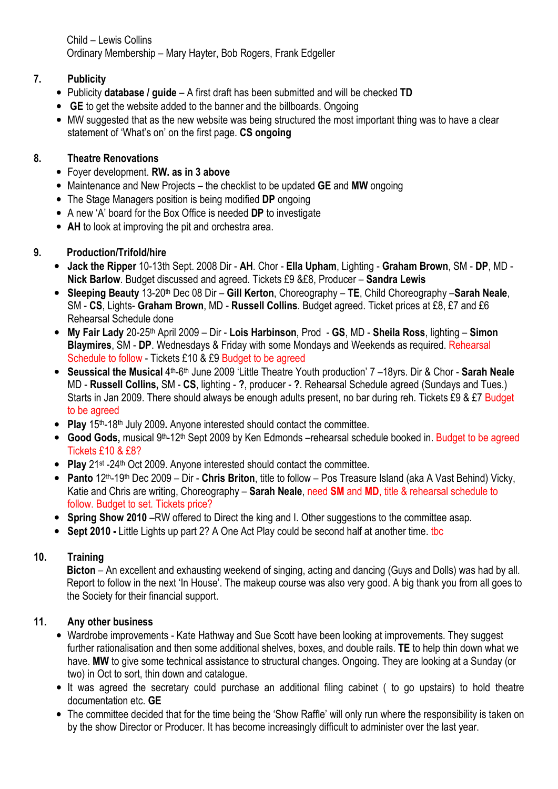Child – Lewis Collins Ordinary Membership – Mary Hayter, Bob Rogers, Frank Edgeller

## 7. Publicity

- Publicity database / guide A first draft has been submitted and will be checked TD
- GE to get the website added to the banner and the billboards. Ongoing
- MW suggested that as the new website was being structured the most important thing was to have a clear statement of 'What's on' on the first page. CS ongoing

## 8. Theatre Renovations

- Foyer development. RW. as in 3 above
- Maintenance and New Projects the checklist to be updated **GE** and MW ongoing
- The Stage Managers position is being modified DP ongoing
- A new 'A' board for the Box Office is needed DP to investigate
- AH to look at improving the pit and orchestra area.

# 9. Production/Trifold/hire

- Jack the Ripper 10-13th Sept. 2008 Dir AH. Chor Ella Upham, Lighting Graham Brown, SM DP, MD -Nick Barlow. Budget discussed and agreed. Tickets £9 &£8, Producer – Sandra Lewis
- Sleeping Beauty 13-20<sup>th</sup> Dec 08 Dir Gill Kerton, Choreography TE, Child Choreography Sarah Neale, SM - CS, Lights- Graham Brown, MD - Russell Collins. Budget agreed. Ticket prices at £8, £7 and £6 Rehearsal Schedule done
- My Fair Lady 20-25<sup>th</sup> April 2009 Dir Lois Harbinson, Prod GS, MD Sheila Ross, lighting Simon Blaymires, SM - DP. Wednesdays & Friday with some Mondays and Weekends as required. Rehearsal Schedule to follow - Tickets £10 & £9 Budget to be agreed
- Seussical the Musical 4<sup>th</sup>-6<sup>th</sup> June 2009 'Little Theatre Youth production' 7 –18yrs. Dir & Chor Sarah Neale MD - Russell Collins, SM - CS, lighting - ?, producer - ?. Rehearsal Schedule agreed (Sundays and Tues.) Starts in Jan 2009. There should always be enough adults present, no bar during reh. Tickets £9 & £7 Budget to be agreed
- Play  $15<sup>th-18<sup>th</sup></sup>$  July 2009. Anyone interested should contact the committee.
- Good Gods, musical 9<sup>th</sup>-12<sup>th</sup> Sept 2009 by Ken Edmonds –rehearsal schedule booked in. Budget to be agreed Tickets £10 & £8?
- Play 21<sup>st</sup> -24<sup>th</sup> Oct 2009. Anyone interested should contact the committee.
- Panto  $12^{th}$ -19<sup>th</sup> Dec 2009 Dir Chris Briton, title to follow Pos Treasure Island (aka A Vast Behind) Vicky, Katie and Chris are writing, Choreography – Sarah Neale, need SM and MD, title & rehearsal schedule to follow. Budget to set. Tickets price?
- Spring Show 2010 RW offered to Direct the king and I. Other suggestions to the committee asap.
- Sept 2010 Little Lights up part 2? A One Act Play could be second half at another time. the

# 10. Training

Bicton – An excellent and exhausting weekend of singing, acting and dancing (Guys and Dolls) was had by all. Report to follow in the next 'In House'. The makeup course was also very good. A big thank you from all goes to the Society for their financial support.

## 11. Any other business

- Wardrobe improvements Kate Hathway and Sue Scott have been looking at improvements. They suggest further rationalisation and then some additional shelves, boxes, and double rails. TE to help thin down what we have. MW to give some technical assistance to structural changes. Ongoing. They are looking at a Sunday (or two) in Oct to sort, thin down and catalogue.
- It was agreed the secretary could purchase an additional filing cabinet ( to go upstairs) to hold theatre documentation etc. GE
- The committee decided that for the time being the 'Show Raffle' will only run where the responsibility is taken on by the show Director or Producer. It has become increasingly difficult to administer over the last year.